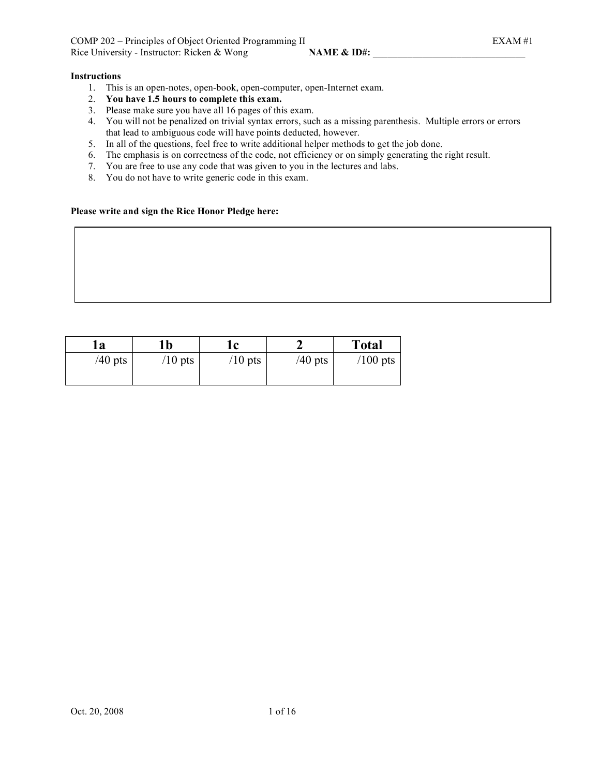# **Instructions**

- 1. This is an open-notes, open-book, open-computer, open-Internet exam.
- 2. **You have 1.5 hours to complete this exam.**
- 3. Please make sure you have all 16 pages of this exam.
- 4. You will not be penalized on trivial syntax errors, such as a missing parenthesis. Multiple errors or errors that lead to ambiguous code will have points deducted, however.
- 5. In all of the questions, feel free to write additional helper methods to get the job done.
- 6. The emphasis is on correctness of the code, not efficiency or on simply generating the right result.
- 7. You are free to use any code that was given to you in the lectures and labs.
- 8. You do not have to write generic code in this exam.

# **Please write and sign the Rice Honor Pledge here:**

| 1a        | 1 <sub>b</sub> | ıc        |           | <b>Total</b> |
|-----------|----------------|-----------|-----------|--------------|
| $/40$ pts | $/10$ pts      | $/10$ pts | $/40$ pts | $/100$ pts   |
|           |                |           |           |              |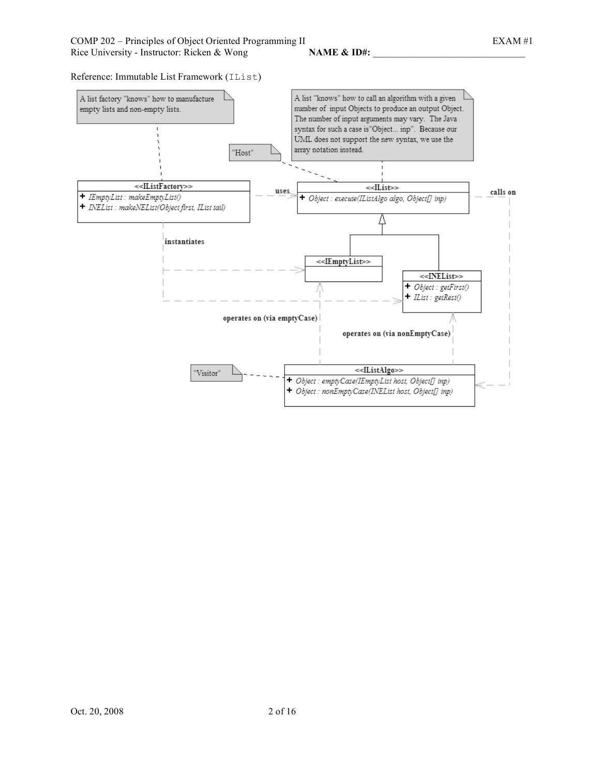Reference: Immutable List Framework (IList)

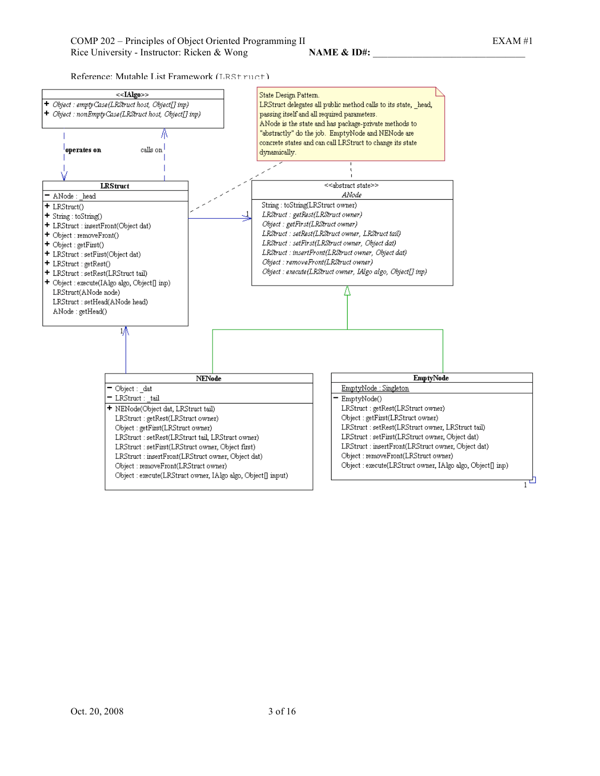Reference: Mutable List Framework (LRStruct)

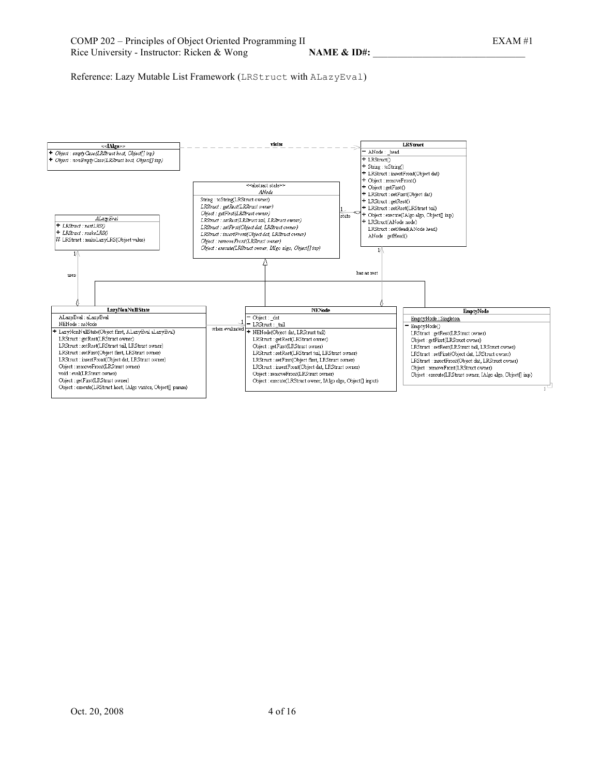Reference: Lazy Mutable List Framework (LRStruct with ALazyEval)

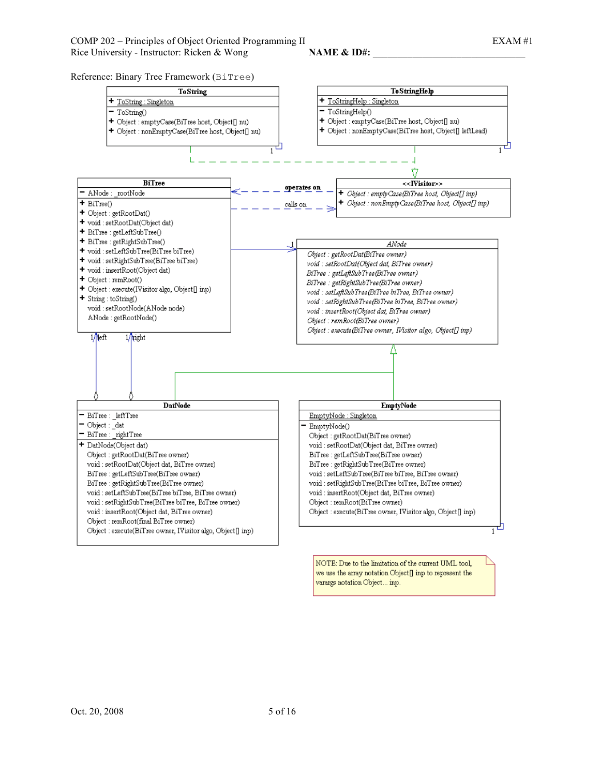Reference: Binary Tree Framework (BiTree)



NOTE: Due to the limitation of the current UML tool, we use the array notation  $\operatorname{Object}[]$  inp to represent the varargs notation Object... inp.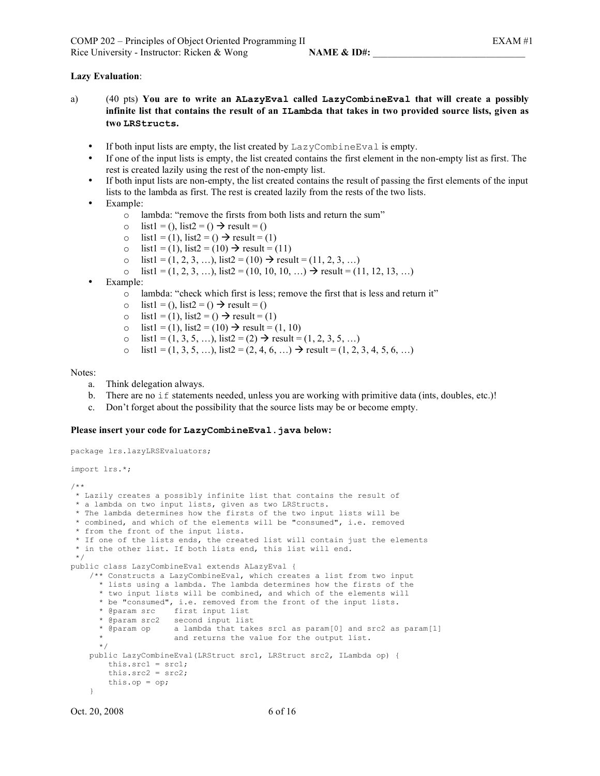## **Lazy Evaluation**:

- a) (40 pts) **You are to write an ALazyEval called LazyCombineEval that will create a possibly** infinite list that contains the result of an ILambda that takes in two provided source lists, given as **two LRStructs.**
	- If both input lists are empty, the list created by  $\text{LazyCombineEval}$  is empty.
	- If one of the input lists is empty, the list created contains the first element in the non-empty list as first. The rest is created lazily using the rest of the non-empty list.
	- If both input lists are non-empty, the list created contains the result of passing the first elements of the input lists to the lambda as first. The rest is created lazily from the rests of the two lists.
	- Example:
		- o lambda: "remove the firsts from both lists and return the sum"
		- o list1 = (), list2 = ()  $\rightarrow$  result = ()
		- o list1 = (1), list2 = ()  $\rightarrow$  result = (1)
		- o list1 = (1), list2 = (10)  $\rightarrow$  result = (11)
		- o list1 =  $(1, 2, 3, ...)$ , list2 =  $(10) \rightarrow$  result =  $(11, 2, 3, ...)$
		- o list1 =  $(1, 2, 3, ...)$ , list2 =  $(10, 10, 10, ...)$   $\rightarrow$  result =  $(11, 12, 13, ...)$
	- Example:
		- o lambda: "check which first is less; remove the first that is less and return it"
		- o list1 = (), list2 = ()  $\rightarrow$  result = ()
		- o list1 = (1), list2 = ()  $\rightarrow$  result = (1)
		- o list1 = (1), list2 = (10)  $\rightarrow$  result = (1, 10)
		- o list1 =  $(1, 3, 5, ...)$ , list2 =  $(2) \rightarrow$  result =  $(1, 2, 3, 5, ...)$
		- o list1 =  $(1, 3, 5, ...)$ , list2 =  $(2, 4, 6, ...)$   $\rightarrow$  result =  $(1, 2, 3, 4, 5, 6, ...)$

#### Notes:

- a. Think delegation always.
- b. There are no  $if$  statements needed, unless you are working with primitive data (ints, doubles, etc.)!
- c. Don't forget about the possibility that the source lists may be or become empty.

#### **Please insert your code for LazyCombineEval.java below:**

```
package lrs.lazyLRSEvaluators;
import lrs.*;
/**
* Lazily creates a possibly infinite list that contains the result of
* a lambda on two input lists, given as two LRStructs.
 * The lambda determines how the firsts of the two input lists will be
 * combined, and which of the elements will be "consumed", i.e. removed
 * from the front of the input lists.
 * If one of the lists ends, the created list will contain just the elements
 * in the other list. If both lists end, this list will end.
 */
public class LazyCombineEval extends ALazyEval {
   /** Constructs a LazyCombineEval, which creates a list from two input
     * lists using a lambda. The lambda determines how the firsts of the
     * two input lists will be combined, and which of the elements will
     * be "consumed", i.e. removed from the front of the input lists.
      * @param src first input list
      * @param src2 second input list
      * @param op a lambda that takes src1 as param[0] and src2 as param[1]
                    and returns the value for the output list.
      */
   public LazyCombineEval(LRStruct src1, LRStruct src2, ILambda op) {
       this.src1 = src1;
        this.src2 = src2;
        this.op = op;
    }
```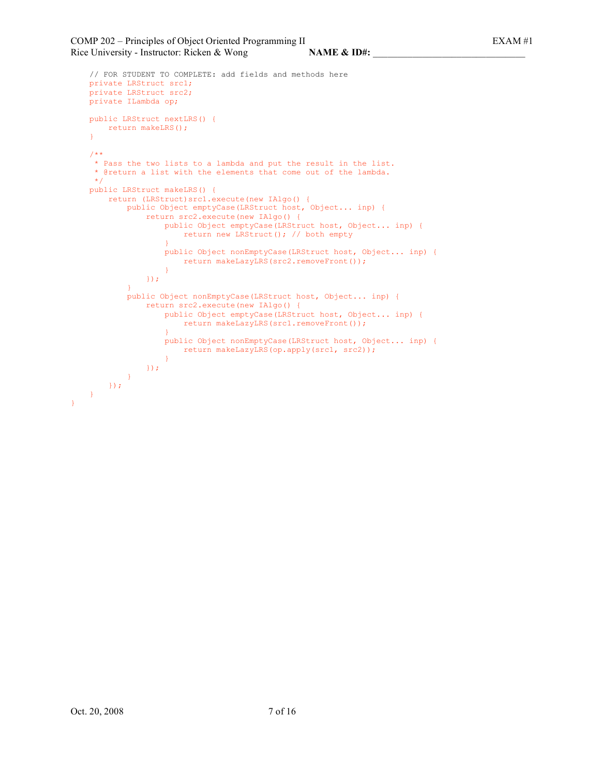```
// FOR STUDENT TO COMPLETE: add fields and methods here
   private LRStruct src1;
    private LRStruct src2;
   private ILambda op;
    public LRStruct nextLRS() {
       return makeLRS();
    }
    /**
    * Pass the two lists to a lambda and put the result in the list.
     * @return a list with the elements that come out of the lambda.
    */
    public LRStruct makeLRS() {
        return (LRStruct)src1.execute(new IAlgo() {
           public Object emptyCase(LRStruct host, Object... inp) {
               return src2.execute(new IAlgo() {
                   public Object emptyCase(LRStruct host, Object... inp) {
                       return new LRStruct(); // both empty
                    }
                    public Object nonEmptyCase(LRStruct host, Object... inp) {
                       return makeLazyLRS(src2.removeFront());
                    }
                });
            }
            public Object nonEmptyCase(LRStruct host, Object... inp) {
                return src2.execute(new IAlgo() {
                    public Object emptyCase(LRStruct host, Object... inp) {
                       return makeLazyLRS(src1.removeFront());
                    }
                    public Object nonEmptyCase(LRStruct host, Object... inp) {
                       return makeLazyLRS(op.apply(src1, src2));
                    }
               });
            }
        });
    }
}
```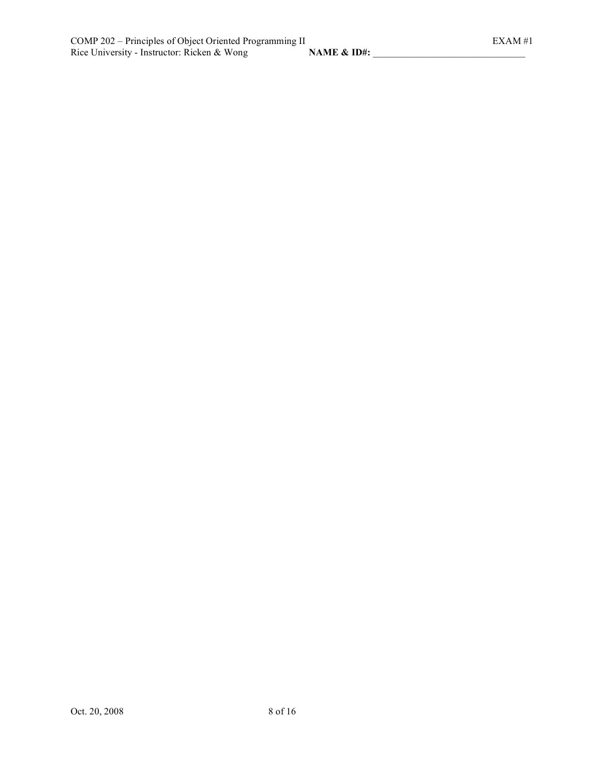Oct. 20, 2008 8 of 16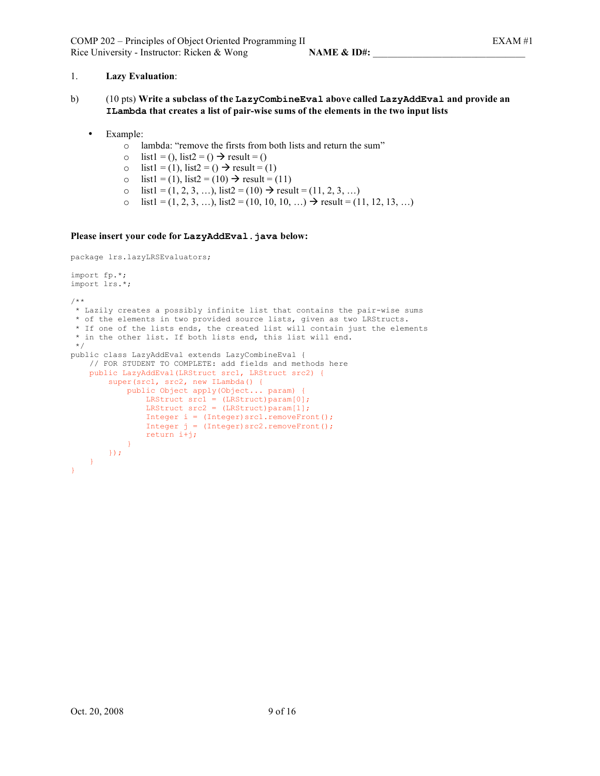COMP 202 – Principles of Object Oriented Programming II EXAM #1 Rice University - Instructor: Ricken & Wong **NAME & ID#:** 

## 1. **Lazy Evaluation**:

- b) (10 pts) **Write a subclass of the LazyCombineEval above called LazyAddEval and provide an ILambda that creates a list of pair-wise sums of the elements in the two input lists**
	- Example:
		- o lambda: "remove the firsts from both lists and return the sum"
		- o list1 = (), list2 = ()  $\rightarrow$  result = ()
		- o list1 = (1), list2 = ()  $\rightarrow$  result = (1)
		- o list1 = (1), list2 = (10)  $\rightarrow$  result = (11)
		- o list1 =  $(1, 2, 3, ...)$ , list2 =  $(10) \rightarrow$  result =  $(11, 2, 3, ...)$
		- o list1 =  $(1, 2, 3, ...)$ , list2 =  $(10, 10, 10, ...)$   $\rightarrow$  result =  $(11, 12, 13, ...)$

#### **Please insert your code for LazyAddEval.java below:**

```
package lrs.lazyLRSEvaluators;
import fp.*;
import lrs.*;
/**
* Lazily creates a possibly infinite list that contains the pair-wise sums
* of the elements in two provided source lists, given as two LRStructs.
* If one of the lists ends, the created list will contain just the elements
* in the other list. If both lists end, this list will end.
 */
public class LazyAddEval extends LazyCombineEval {
    // FOR STUDENT TO COMPLETE: add fields and methods here
   public LazyAddEval(LRStruct src1, LRStruct src2) {
        super(src1, src2, new ILambda() {
            public Object apply(Object... param) {
               LRStruct src1 = (LRStruct)param[0];
               LRStruct src2 = (LRStruct)param[1];
               Integer i = (Integer) src1. removeFront();
               Integer j = (Integer)src2.removeFront();
               return i+j;
            }
      });
   }
}
```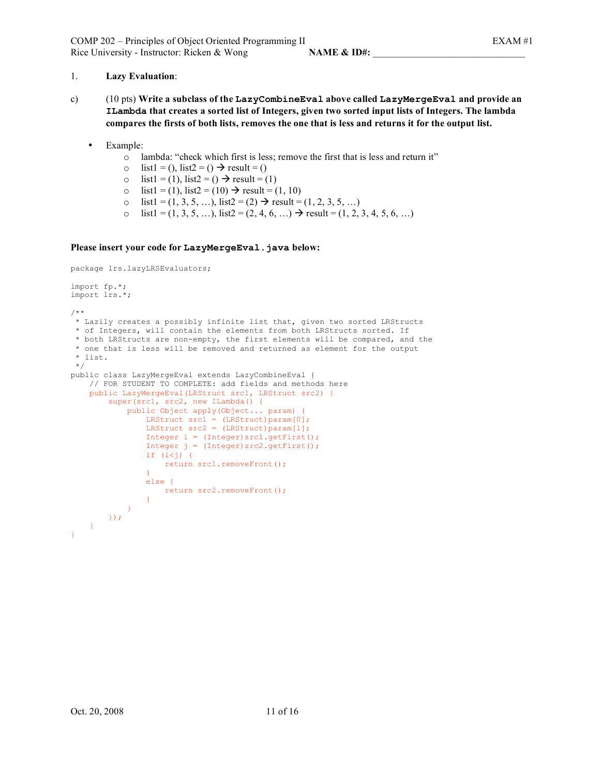## 1. **Lazy Evaluation**:

- c) (10 pts) **Write a subclass of the LazyCombineEval above called LazyMergeEval and provide an ILambda that creates a sorted list of Integers, given two sorted input lists of Integers. The lambda** compares the firsts of both lists, removes the one that is less and returns it for the output list.
	- Example:
		- o lambda: "check which first is less; remove the first that is less and return it"
		- o list1 = (), list2 = ()  $\rightarrow$  result = ()
		- o list1 = (1), list2 = ()  $\rightarrow$  result = (1)
		- o list1 = (1), list2 = (10)  $\rightarrow$  result = (1, 10)
		- o list1 =  $(1, 3, 5, ...)$ , list2 =  $(2) \rightarrow$  result =  $(1, 2, 3, 5, ...)$
		- o list1 =  $(1, 3, 5, ...)$ , list2 =  $(2, 4, 6, ...)$   $\rightarrow$  result =  $(1, 2, 3, 4, 5, 6, ...)$

#### **Please insert your code for LazyMergeEval.java below:**

```
package lrs.lazyLRSEvaluators;
import fp.*;
import lrs.*;
/**
* Lazily creates a possibly infinite list that, given two sorted LRStructs
* of Integers, will contain the elements from both LRStructs sorted. If
 * both LRStructs are non-empty, the first elements will be compared, and the
* one that is less will be removed and returned as element for the output
 * list.
 \star /
public class LazyMergeEval extends LazyCombineEval {
    // FOR STUDENT TO COMPLETE: add fields and methods here
    public LazyMergeEval(LRStruct src1, LRStruct src2) {
        super(src1, src2, new ILambda() {
            public Object apply(Object... param) {
                LRStruct src1 = (LRStruct)param[0];
                LRStruct src2 = (LRStruct)param[1];
                Integer i = (Integer)src1.getFirst();
                Integer j = (Integer) src2.getFirst();
                if (i\leq j) {
                    return src1.removeFront();
                }
                else {
                    return src2.removeFront();
                }
           }
        });
    }
}
```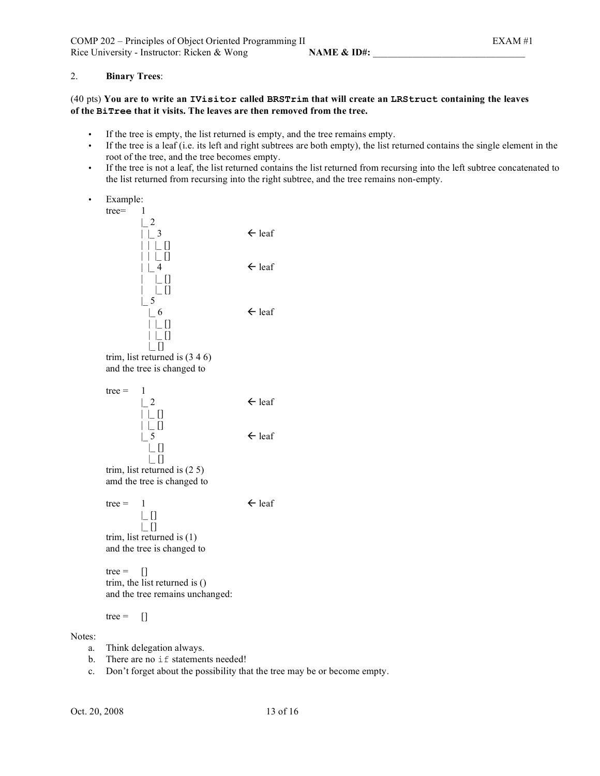COMP 202 – Principles of Object Oriented Programming II EXAM #1 Rice University - Instructor: Ricken & Wong **NAME & ID#:** 

## 2. **Binary Trees**:

# (40 pts) **You are to write an IVisitor called BRSTrim that will create an LRStruct containing the leaves of the BiTree that it visits. The leaves are then removed from the tree.**

- If the tree is empty, the list returned is empty, and the tree remains empty.
- If the tree is a leaf (i.e. its left and right subtrees are both empty), the list returned contains the single element in the root of the tree, and the tree becomes empty.
- If the tree is not a leaf, the list returned contains the list returned from recursing into the left subtree concatenated to the list returned from recursing into the right subtree, and the tree remains non-empty.
- Example:



Notes:

- a. Think delegation always.
- b. There are no if statements needed!
- c. Don't forget about the possibility that the tree may be or become empty.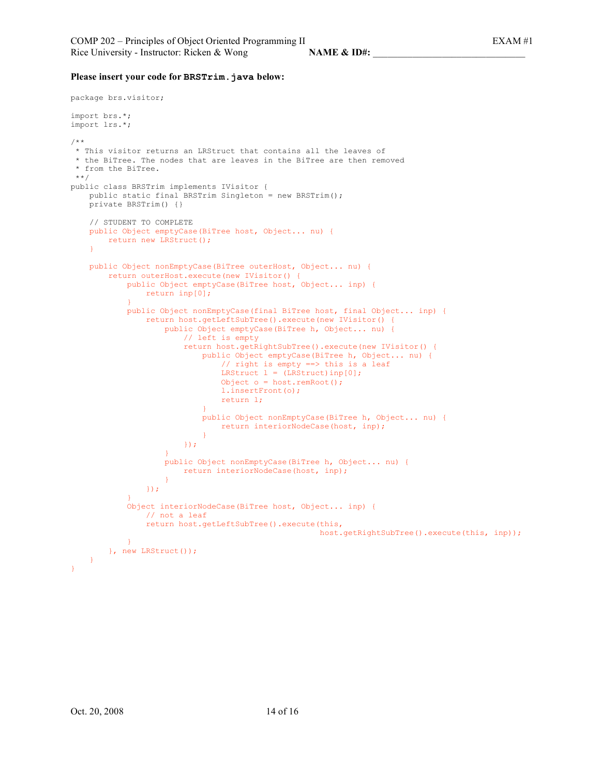#### **Please insert your code for BRSTrim.java below:**

```
package brs.visitor;
import brs.*;
import lrs.*;
/**
* This visitor returns an LRStruct that contains all the leaves of
* the BiTree. The nodes that are leaves in the BiTree are then removed
 * from the BiTree.
**/
public class BRSTrim implements IVisitor {
   public static final BRSTrim Singleton = new BRSTrim();
   private BRSTrim() {}
   // STUDENT TO COMPLETE
   public Object emptyCase(BiTree host, Object... nu) {
       return new LRStruct();
    }
   public Object nonEmptyCase(BiTree outerHost, Object... nu) {
        return outerHost.execute(new IVisitor() {
            public Object emptyCase(BiTree host, Object... inp) {
               return inp[0];
            }
            public Object nonEmptyCase(final BiTree host, final Object... inp) {
                return host.getLeftSubTree().execute(new IVisitor() {
                    public Object emptyCase(BiTree h, Object... nu) {
                        // left is empty
                        return host.getRightSubTree().execute(new IVisitor() {
                            public Object emptyCase(BiTree h, Object... nu) {
                               // right is empty ==> this is a leaf
                                LRStruct l = (LRStruct)inp[0];Object o = host.remRoot();
                                l.insertFront(o);
                               return l;
                            }
                            public Object nonEmptyCase(BiTree h, Object... nu) {
                               return interiorNodeCase(host, inp);
                            }
                        });
                    }
                    public Object nonEmptyCase(BiTree h, Object... nu) {
                        return interiorNodeCase(host, inp);
                    }
                });
            }
            Object interiorNodeCase(BiTree host, Object... inp) {
               // not a leaf
               return host.getLeftSubTree().execute(this,
                                                     host.getRightSubTree().execute(this, inp));
            }
       }, new LRStruct());
   }
}
```